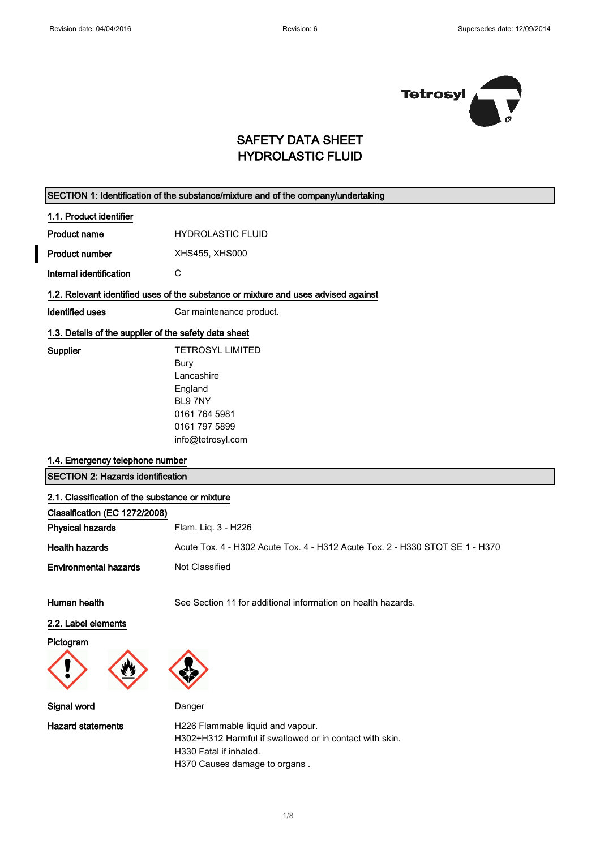

# SAFETY DATA SHEET HYDROLASTIC FLUID

### SECTION 1: Identification of the substance/mixture and of the company/undertaking

#### 1.1. Product identifier

| Product name | <b>HYDROLASTIC FLUID</b> |
|--------------|--------------------------|
|              |                          |

Product number XHS455, XHS000

Internal identification C

### 1.2. Relevant identified uses of the substance or mixture and uses advised against

Identified uses **Car maintenance product.** 

#### 1.3. Details of the supplier of the safety data sheet

| Supplier | <b>TETROSYL LIMITED</b> |
|----------|-------------------------|
|          | Bury                    |
|          | I ancashire             |
|          | England                 |
|          | BL97NY                  |
|          | 0161 764 5981           |
|          | 0161 797 5899           |
|          | info@tetrosyl.com       |
|          |                         |

#### 1.4. Emergency telephone number

SECTION 2: Hazards identification

#### 2.1. Classification of the substance or mixture

| Classification (EC 1272/2008) |                                                                              |
|-------------------------------|------------------------------------------------------------------------------|
| <b>Physical hazards</b>       | Flam. Lig. 3 - H226                                                          |
| <b>Health hazards</b>         | Acute Tox. 4 - H302 Acute Tox. 4 - H312 Acute Tox. 2 - H330 STOT SE 1 - H370 |
| <b>Environmental hazards</b>  | Not Classified                                                               |

Human health See Section 11 for additional information on health hazards.

### 2.2. Label elements

Pictogram



Signal word Danger



Hazard statements **H226 Flammable liquid and vapour.** H302+H312 Harmful if swallowed or in contact with skin. H330 Fatal if inhaled. H370 Causes damage to organs .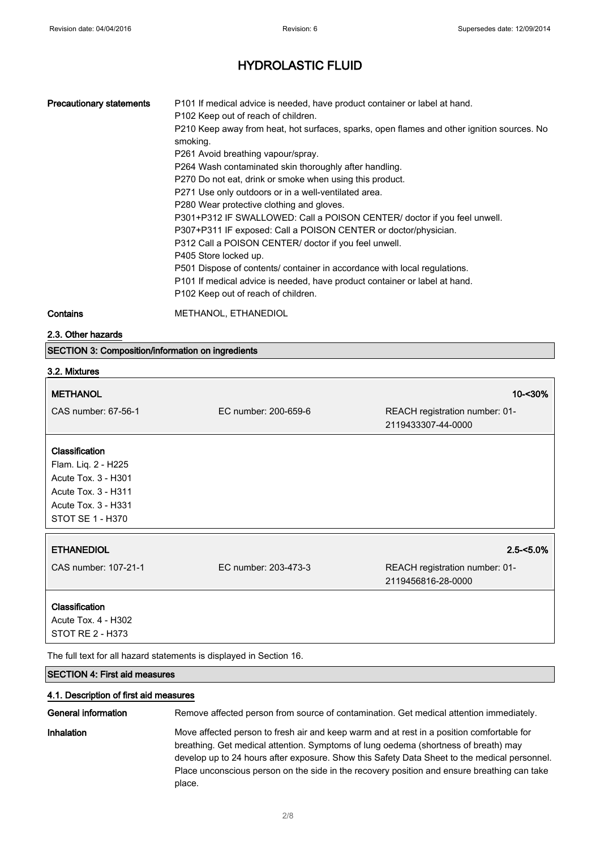| <b>Precautionary statements</b> | P101 If medical advice is needed, have product container or label at hand.                 |
|---------------------------------|--------------------------------------------------------------------------------------------|
|                                 | P102 Keep out of reach of children.                                                        |
|                                 | P210 Keep away from heat, hot surfaces, sparks, open flames and other ignition sources. No |
|                                 | smoking.                                                                                   |
|                                 | P261 Avoid breathing vapour/spray.                                                         |
|                                 | P264 Wash contaminated skin thoroughly after handling.                                     |
|                                 | P270 Do not eat, drink or smoke when using this product.                                   |
|                                 | P271 Use only outdoors or in a well-ventilated area.                                       |
|                                 | P280 Wear protective clothing and gloves.                                                  |
|                                 | P301+P312 IF SWALLOWED: Call a POISON CENTER/ doctor if you feel unwell.                   |
|                                 | P307+P311 IF exposed: Call a POISON CENTER or doctor/physician.                            |
|                                 | P312 Call a POISON CENTER/ doctor if you feel unwell.                                      |
|                                 | P405 Store locked up.                                                                      |
|                                 | P501 Dispose of contents/ container in accordance with local regulations.                  |
|                                 | P101 If medical advice is needed, have product container or label at hand.                 |
|                                 | P102 Keep out of reach of children.                                                        |
|                                 |                                                                                            |

Contains METHANOL, ETHANEDIOL

2.3. Other hazards

SECTION 3: Composition/information on ingredients

### 3.2. Mixtures

#### METHANOL 10-<30%

| CAS number: 67-56-1 |  |
|---------------------|--|
|---------------------|--|

EC number: 200-659-6 REACH registration number: 01-2119433307-44-0000

### Classification

Flam. Liq. 2 - H225 Acute Tox. 3 - H301 Acute Tox. 3 - H311 Acute Tox. 3 - H331 STOT SE 1 - H370

CAS number: 107-21-1 EC number: 203-473-3 REACH registration number: 01- 2119456816-28-0000

#### Classification

Acute Tox. 4 - H302 STOT RE 2 - H373

The full text for all hazard statements is displayed in Section 16.

#### SECTION 4: First aid measures

#### 4.1. Description of first aid measures

General information **Remove affected person from source of contamination**. Get medical attention immediately. Inhalation Move affected person to fresh air and keep warm and at rest in a position comfortable for breathing. Get medical attention. Symptoms of lung oedema (shortness of breath) may develop up to 24 hours after exposure. Show this Safety Data Sheet to the medical personnel. Place unconscious person on the side in the recovery position and ensure breathing can take place.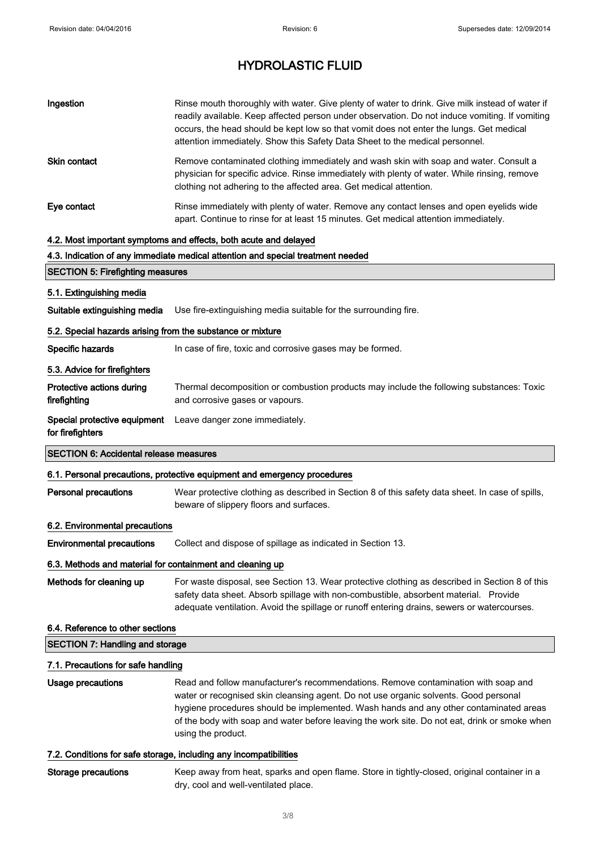| Ingestion                                                  | Rinse mouth thoroughly with water. Give plenty of water to drink. Give milk instead of water if<br>readily available. Keep affected person under observation. Do not induce vomiting. If vomiting<br>occurs, the head should be kept low so that vomit does not enter the lungs. Get medical<br>attention immediately. Show this Safety Data Sheet to the medical personnel.               |
|------------------------------------------------------------|--------------------------------------------------------------------------------------------------------------------------------------------------------------------------------------------------------------------------------------------------------------------------------------------------------------------------------------------------------------------------------------------|
| Skin contact                                               | Remove contaminated clothing immediately and wash skin with soap and water. Consult a<br>physician for specific advice. Rinse immediately with plenty of water. While rinsing, remove<br>clothing not adhering to the affected area. Get medical attention.                                                                                                                                |
| Eye contact                                                | Rinse immediately with plenty of water. Remove any contact lenses and open eyelids wide<br>apart. Continue to rinse for at least 15 minutes. Get medical attention immediately.                                                                                                                                                                                                            |
|                                                            | 4.2. Most important symptoms and effects, both acute and delayed                                                                                                                                                                                                                                                                                                                           |
|                                                            | 4.3. Indication of any immediate medical attention and special treatment needed                                                                                                                                                                                                                                                                                                            |
| <b>SECTION 5: Firefighting measures</b>                    |                                                                                                                                                                                                                                                                                                                                                                                            |
| 5.1. Extinguishing media                                   |                                                                                                                                                                                                                                                                                                                                                                                            |
| Suitable extinguishing media                               | Use fire-extinguishing media suitable for the surrounding fire.                                                                                                                                                                                                                                                                                                                            |
| 5.2. Special hazards arising from the substance or mixture |                                                                                                                                                                                                                                                                                                                                                                                            |
| Specific hazards                                           | In case of fire, toxic and corrosive gases may be formed.                                                                                                                                                                                                                                                                                                                                  |
| 5.3. Advice for firefighters                               |                                                                                                                                                                                                                                                                                                                                                                                            |
| Protective actions during<br>firefighting                  | Thermal decomposition or combustion products may include the following substances: Toxic<br>and corrosive gases or vapours.                                                                                                                                                                                                                                                                |
| Special protective equipment<br>for firefighters           | Leave danger zone immediately.                                                                                                                                                                                                                                                                                                                                                             |
| <b>SECTION 6: Accidental release measures</b>              |                                                                                                                                                                                                                                                                                                                                                                                            |
|                                                            | 6.1. Personal precautions, protective equipment and emergency procedures                                                                                                                                                                                                                                                                                                                   |
| <b>Personal precautions</b>                                | Wear protective clothing as described in Section 8 of this safety data sheet. In case of spills,<br>beware of slippery floors and surfaces.                                                                                                                                                                                                                                                |
| 6.2. Environmental precautions                             |                                                                                                                                                                                                                                                                                                                                                                                            |
| <b>Environmental precautions</b>                           | Collect and dispose of spillage as indicated in Section 13.                                                                                                                                                                                                                                                                                                                                |
| 6.3. Methods and material for containment and cleaning up  |                                                                                                                                                                                                                                                                                                                                                                                            |
| Methods for cleaning up                                    | For waste disposal, see Section 13. Wear protective clothing as described in Section 8 of this<br>safety data sheet. Absorb spillage with non-combustible, absorbent material. Provide<br>adequate ventilation. Avoid the spillage or runoff entering drains, sewers or watercourses.                                                                                                      |
| 6.4. Reference to other sections                           |                                                                                                                                                                                                                                                                                                                                                                                            |
| <b>SECTION 7: Handling and storage</b>                     |                                                                                                                                                                                                                                                                                                                                                                                            |
| 7.1. Precautions for safe handling                         |                                                                                                                                                                                                                                                                                                                                                                                            |
| Usage precautions                                          | Read and follow manufacturer's recommendations. Remove contamination with soap and<br>water or recognised skin cleansing agent. Do not use organic solvents. Good personal<br>hygiene procedures should be implemented. Wash hands and any other contaminated areas<br>of the body with soap and water before leaving the work site. Do not eat, drink or smoke when<br>using the product. |
|                                                            | 7.2. Conditions for safe storage, including any incompatibilities                                                                                                                                                                                                                                                                                                                          |

Storage precautions Keep away from heat, sparks and open flame. Store in tightly-closed, original container in a dry, cool and well-ventilated place.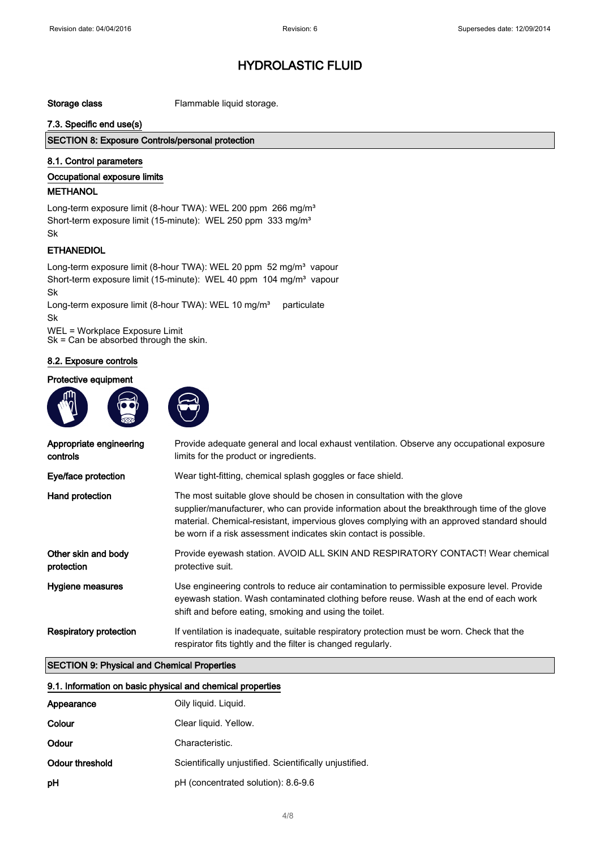Storage class Flammable liquid storage.

#### 7.3. Specific end use(s)

### SECTION 8: Exposure Controls/personal protection

### 8.1. Control parameters

#### Occupational exposure limits

#### **METHANOL**

Long-term exposure limit (8-hour TWA): WEL 200 ppm 266 mg/m<sup>3</sup> Short-term exposure limit (15-minute): WEL 250 ppm 333 mg/m<sup>3</sup> Sk

### ETHANEDIOL

Long-term exposure limit (8-hour TWA): WEL 20 ppm 52 mg/m<sup>3</sup> vapour Short-term exposure limit (15-minute): WEL 40 ppm 104 mg/m<sup>3</sup> vapour Sk

Long-term exposure limit (8-hour TWA): WEL 10 mg/m<sup>3</sup> particulate Sk

WEL = Workplace Exposure Limit Sk = Can be absorbed through the skin.

#### 8.2. Exposure controls

#### Protective equipment



| Appropriate engineering<br>controls | Provide adequate general and local exhaust ventilation. Observe any occupational exposure<br>limits for the product or ingredients.                                                                                                                                                                                                      |
|-------------------------------------|------------------------------------------------------------------------------------------------------------------------------------------------------------------------------------------------------------------------------------------------------------------------------------------------------------------------------------------|
| Eye/face protection                 | Wear tight-fitting, chemical splash goggles or face shield.                                                                                                                                                                                                                                                                              |
| Hand protection                     | The most suitable glove should be chosen in consultation with the glove<br>supplier/manufacturer, who can provide information about the breakthrough time of the glove<br>material. Chemical-resistant, impervious gloves complying with an approved standard should<br>be worn if a risk assessment indicates skin contact is possible. |
| Other skin and body<br>protection   | Provide eyewash station. AVOID ALL SKIN AND RESPIRATORY CONTACT! Wear chemical<br>protective suit.                                                                                                                                                                                                                                       |
| Hygiene measures                    | Use engineering controls to reduce air contamination to permissible exposure level. Provide<br>eyewash station. Wash contaminated clothing before reuse. Wash at the end of each work<br>shift and before eating, smoking and using the toilet.                                                                                          |
| <b>Respiratory protection</b>       | If ventilation is inadequate, suitable respiratory protection must be worn. Check that the<br>respirator fits tightly and the filter is changed regularly.                                                                                                                                                                               |

#### SECTION 9: Physical and Chemical Properties

| 9.1. Information on basic physical and chemical properties |                                                         |
|------------------------------------------------------------|---------------------------------------------------------|
| Appearance                                                 | Oily liquid. Liquid.                                    |
| Colour                                                     | Clear liquid. Yellow.                                   |
| Odour                                                      | Characteristic.                                         |
| Odour threshold                                            | Scientifically unjustified. Scientifically unjustified. |
| рH                                                         | pH (concentrated solution): 8.6-9.6                     |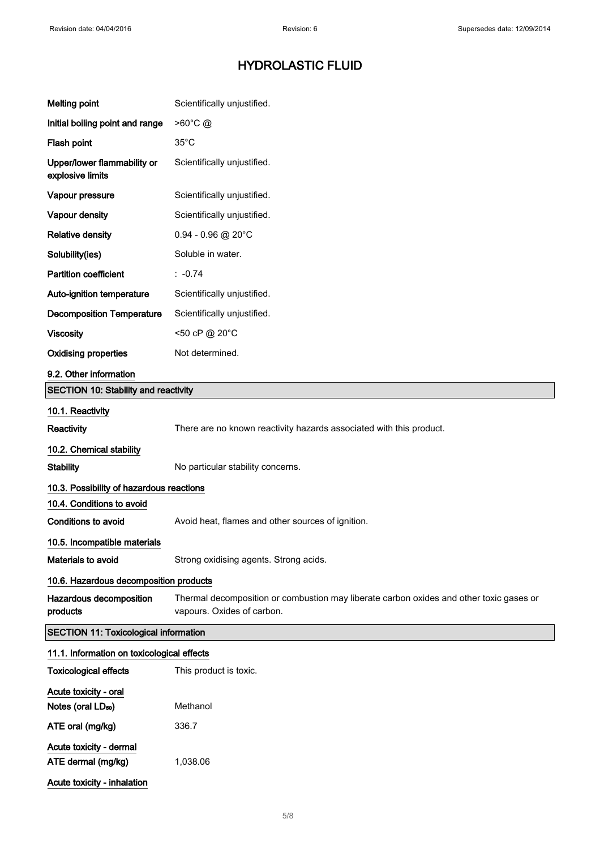| <b>Melting point</b>                                    | Scientifically unjustified.                                                                                           |
|---------------------------------------------------------|-----------------------------------------------------------------------------------------------------------------------|
| Initial boiling point and range                         | >60°C @                                                                                                               |
| Flash point                                             | $35^{\circ}$ C                                                                                                        |
| Upper/lower flammability or<br>explosive limits         | Scientifically unjustified.                                                                                           |
| Vapour pressure                                         | Scientifically unjustified.                                                                                           |
| Vapour density                                          | Scientifically unjustified.                                                                                           |
| <b>Relative density</b>                                 | $0.94 - 0.96$ @ 20°C                                                                                                  |
| Solubility(ies)                                         | Soluble in water.                                                                                                     |
| <b>Partition coefficient</b>                            | $: -0.74$                                                                                                             |
| Auto-ignition temperature                               | Scientifically unjustified.                                                                                           |
| <b>Decomposition Temperature</b>                        | Scientifically unjustified.                                                                                           |
| <b>Viscosity</b>                                        | <50 cP @ 20°C                                                                                                         |
| <b>Oxidising properties</b>                             | Not determined.                                                                                                       |
| 9.2. Other information                                  |                                                                                                                       |
| <b>SECTION 10: Stability and reactivity</b>             |                                                                                                                       |
| 10.1. Reactivity                                        |                                                                                                                       |
| <b>Reactivity</b>                                       | There are no known reactivity hazards associated with this product.                                                   |
| 10.2. Chemical stability                                |                                                                                                                       |
| <b>Stability</b>                                        | No particular stability concerns.                                                                                     |
| 10.3. Possibility of hazardous reactions                |                                                                                                                       |
| 10.4. Conditions to avoid                               |                                                                                                                       |
| Conditions to avoid                                     | Avoid heat, flames and other sources of ignition.                                                                     |
| 10.5. Incompatible materials                            |                                                                                                                       |
| Materials to avoid                                      | Strong oxidising agents. Strong acids.                                                                                |
| 10.6. Hazardous decomposition products                  |                                                                                                                       |
| Hazardous decomposition<br>products                     | Thermal decomposition or combustion may liberate carbon oxides and other toxic gases or<br>vapours. Oxides of carbon. |
| <b>SECTION 11: Toxicological information</b>            |                                                                                                                       |
| 11.1. Information on toxicological effects              |                                                                                                                       |
| <b>Toxicological effects</b>                            | This product is toxic.                                                                                                |
| Acute toxicity - oral<br>Notes (oral LD <sub>50</sub> ) | Methanol                                                                                                              |
| ATE oral (mg/kg)                                        | 336.7                                                                                                                 |
| Acute toxicity - dermal                                 |                                                                                                                       |
| ATE dermal (mg/kg)                                      | 1,038.06                                                                                                              |
| Acute toxicity - inhalation                             |                                                                                                                       |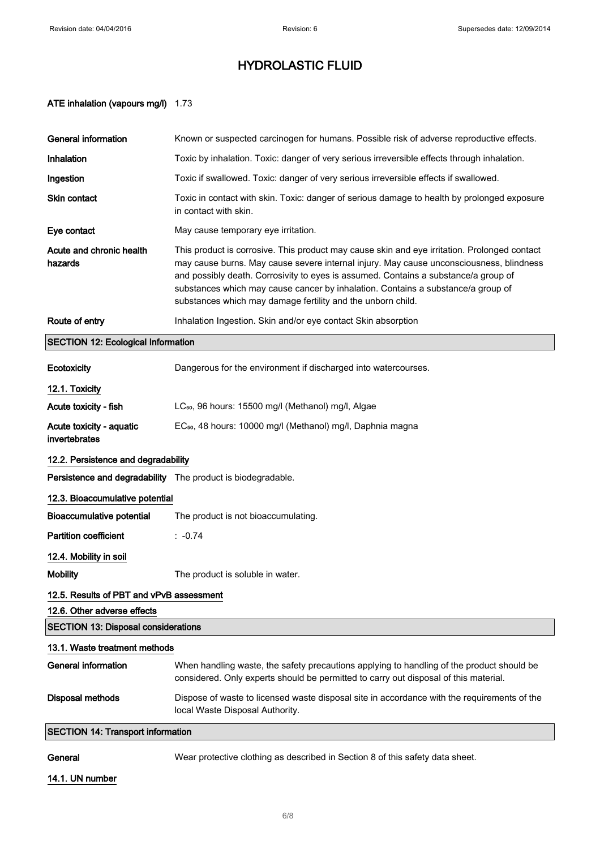### ATE inhalation (vapours mg/l) 1.73

| <b>General information</b>                                  | Known or suspected carcinogen for humans. Possible risk of adverse reproductive effects.                                                                                                                                                                                                                                                                                                                                          |
|-------------------------------------------------------------|-----------------------------------------------------------------------------------------------------------------------------------------------------------------------------------------------------------------------------------------------------------------------------------------------------------------------------------------------------------------------------------------------------------------------------------|
| Inhalation                                                  | Toxic by inhalation. Toxic: danger of very serious irreversible effects through inhalation.                                                                                                                                                                                                                                                                                                                                       |
| Ingestion                                                   | Toxic if swallowed. Toxic: danger of very serious irreversible effects if swallowed.                                                                                                                                                                                                                                                                                                                                              |
| Skin contact                                                | Toxic in contact with skin. Toxic: danger of serious damage to health by prolonged exposure<br>in contact with skin.                                                                                                                                                                                                                                                                                                              |
| Eye contact                                                 | May cause temporary eye irritation.                                                                                                                                                                                                                                                                                                                                                                                               |
| Acute and chronic health<br>hazards                         | This product is corrosive. This product may cause skin and eye irritation. Prolonged contact<br>may cause burns. May cause severe internal injury. May cause unconsciousness, blindness<br>and possibly death. Corrosivity to eyes is assumed. Contains a substance/a group of<br>substances which may cause cancer by inhalation. Contains a substance/a group of<br>substances which may damage fertility and the unborn child. |
| Route of entry                                              | Inhalation Ingestion. Skin and/or eye contact Skin absorption                                                                                                                                                                                                                                                                                                                                                                     |
| <b>SECTION 12: Ecological Information</b>                   |                                                                                                                                                                                                                                                                                                                                                                                                                                   |
| Ecotoxicity                                                 | Dangerous for the environment if discharged into watercourses.                                                                                                                                                                                                                                                                                                                                                                    |
| 12.1. Toxicity                                              |                                                                                                                                                                                                                                                                                                                                                                                                                                   |
| Acute toxicity - fish                                       | LC <sub>50</sub> , 96 hours: 15500 mg/l (Methanol) mg/l, Algae                                                                                                                                                                                                                                                                                                                                                                    |
| Acute toxicity - aquatic<br>invertebrates                   | EC <sub>50</sub> , 48 hours: 10000 mg/l (Methanol) mg/l, Daphnia magna                                                                                                                                                                                                                                                                                                                                                            |
| 12.2. Persistence and degradability                         |                                                                                                                                                                                                                                                                                                                                                                                                                                   |
| Persistence and degradability The product is biodegradable. |                                                                                                                                                                                                                                                                                                                                                                                                                                   |
| 12.3. Bioaccumulative potential                             |                                                                                                                                                                                                                                                                                                                                                                                                                                   |
| <b>Bioaccumulative potential</b>                            | The product is not bioaccumulating.                                                                                                                                                                                                                                                                                                                                                                                               |
| <b>Partition coefficient</b>                                | $: -0.74$                                                                                                                                                                                                                                                                                                                                                                                                                         |
| 12.4. Mobility in soil                                      |                                                                                                                                                                                                                                                                                                                                                                                                                                   |
| <b>Mobility</b>                                             | The product is soluble in water.                                                                                                                                                                                                                                                                                                                                                                                                  |
| 12.5. Results of PBT and vPvB assessment                    |                                                                                                                                                                                                                                                                                                                                                                                                                                   |
| 12.6. Other adverse effects                                 |                                                                                                                                                                                                                                                                                                                                                                                                                                   |
| <b>SECTION 13: Disposal considerations</b>                  |                                                                                                                                                                                                                                                                                                                                                                                                                                   |
| 13.1. Waste treatment methods                               |                                                                                                                                                                                                                                                                                                                                                                                                                                   |
| <b>General information</b>                                  | When handling waste, the safety precautions applying to handling of the product should be<br>considered. Only experts should be permitted to carry out disposal of this material.                                                                                                                                                                                                                                                 |
| <b>Disposal methods</b>                                     | Dispose of waste to licensed waste disposal site in accordance with the requirements of the<br>local Waste Disposal Authority.                                                                                                                                                                                                                                                                                                    |
| <b>SECTION 14: Transport information</b>                    |                                                                                                                                                                                                                                                                                                                                                                                                                                   |

General **General** Wear protective clothing as described in Section 8 of this safety data sheet.

14.1. UN number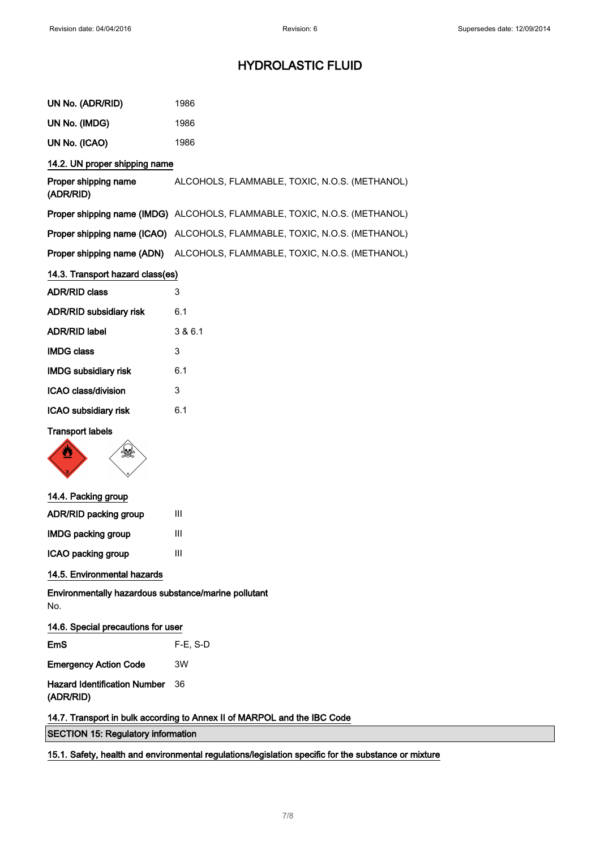| UN No. (ADR/RID)                                                         | 1986                                                                      |  |
|--------------------------------------------------------------------------|---------------------------------------------------------------------------|--|
| UN No. (IMDG)                                                            | 1986                                                                      |  |
| UN No. (ICAO)                                                            | 1986                                                                      |  |
| 14.2. UN proper shipping name                                            |                                                                           |  |
| Proper shipping name<br>(ADR/RID)                                        | ALCOHOLS, FLAMMABLE, TOXIC, N.O.S. (METHANOL)                             |  |
|                                                                          | Proper shipping name (IMDG) ALCOHOLS, FLAMMABLE, TOXIC, N.O.S. (METHANOL) |  |
|                                                                          | Proper shipping name (ICAO) ALCOHOLS, FLAMMABLE, TOXIC, N.O.S. (METHANOL) |  |
| Proper shipping name (ADN)                                               | ALCOHOLS, FLAMMABLE, TOXIC, N.O.S. (METHANOL)                             |  |
| 14.3. Transport hazard class(es)                                         |                                                                           |  |
| <b>ADR/RID class</b>                                                     | 3                                                                         |  |
| ADR/RID subsidiary risk                                                  | 6.1                                                                       |  |
| <b>ADR/RID label</b>                                                     | 3 & 6.1                                                                   |  |
| <b>IMDG class</b>                                                        | 3                                                                         |  |
| <b>IMDG subsidiary risk</b>                                              | 6.1                                                                       |  |
| ICAO class/division                                                      | 3                                                                         |  |
| ICAO subsidiary risk                                                     | 6.1                                                                       |  |
| <b>Transport labels</b><br>髪                                             |                                                                           |  |
| 14.4. Packing group                                                      |                                                                           |  |
| ADR/RID packing group                                                    | Ш                                                                         |  |
| <b>IMDG packing group</b>                                                | Ш                                                                         |  |
| ICAO packing group                                                       | Ш                                                                         |  |
| 14.5. Environmental hazards                                              |                                                                           |  |
| Environmentally hazardous substance/marine pollutant<br>No.              |                                                                           |  |
| 14.6. Special precautions for user                                       |                                                                           |  |
| EmS                                                                      | $F-E$ , S-D                                                               |  |
| <b>Emergency Action Code</b>                                             | 3W                                                                        |  |
| <b>Hazard Identification Number</b><br>(ADR/RID)                         | 36                                                                        |  |
| 14.7. Transport in bulk according to Annex II of MARPOL and the IBC Code |                                                                           |  |
| <b>SECTION 15: Regulatory information</b>                                |                                                                           |  |

15.1. Safety, health and environmental regulations/legislation specific for the substance or mixture